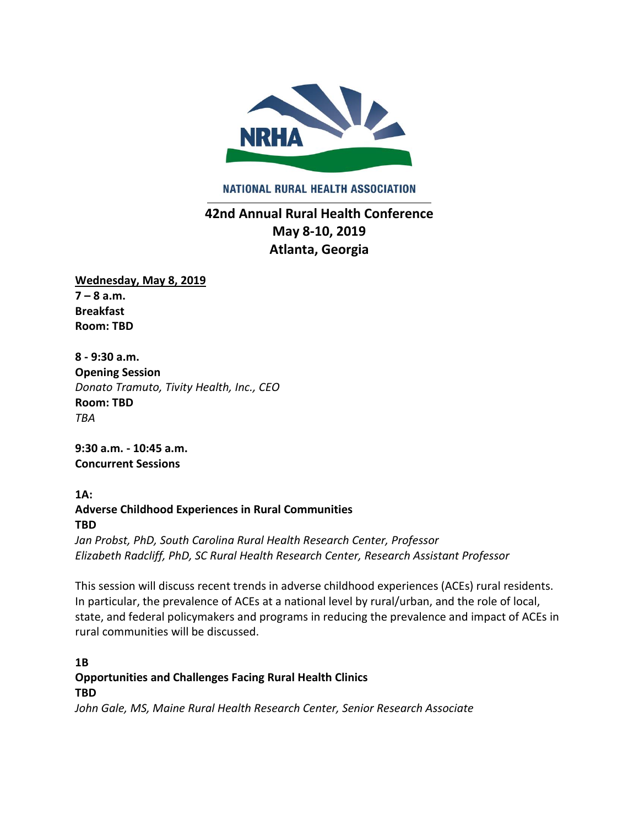

NATIONAL RURAL HEALTH ASSOCIATION

# **42nd Annual Rural Health Conference May 8-10, 2019 Atlanta, Georgia**

**Wednesday, May 8, 2019**  $7 - 8$  a.m. **Breakfast Room: TBD**

**8 - 9:30 a.m. Opening Session**  *Donato Tramuto, Tivity Health, Inc., CEO*  **Room: TBD** *TBA*

**9:30 a.m. - 10:45 a.m. Concurrent Sessions**

**1A: Adverse Childhood Experiences in Rural Communities TBD**

*Jan Probst, PhD, South Carolina Rural Health Research Center, Professor Elizabeth Radcliff, PhD, SC Rural Health Research Center, Research Assistant Professor*

This session will discuss recent trends in adverse childhood experiences (ACEs) rural residents. In particular, the prevalence of ACEs at a national level by rural/urban, and the role of local, state, and federal policymakers and programs in reducing the prevalence and impact of ACEs in rural communities will be discussed.

**1B Opportunities and Challenges Facing Rural Health Clinics TBD**

*John Gale, MS, Maine Rural Health Research Center, Senior Research Associate*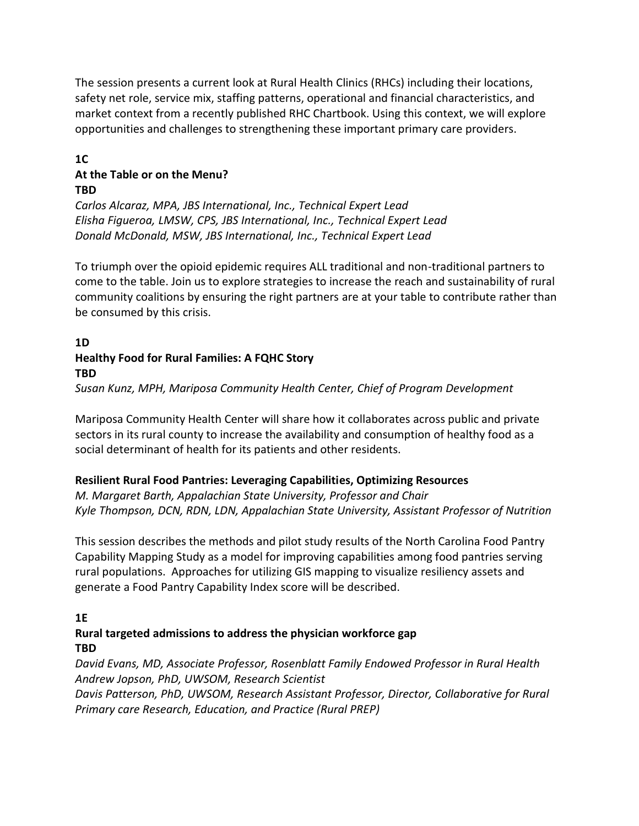The session presents a current look at Rural Health Clinics (RHCs) including their locations, safety net role, service mix, staffing patterns, operational and financial characteristics, and market context from a recently published RHC Chartbook. Using this context, we will explore opportunities and challenges to strengthening these important primary care providers.

#### **1C At the Table or on the Menu? TBD**

*Carlos Alcaraz, MPA, JBS International, Inc., Technical Expert Lead Elisha Figueroa, LMSW, CPS, JBS International, Inc., Technical Expert Lead Donald McDonald, MSW, JBS International, Inc., Technical Expert Lead* 

To triumph over the opioid epidemic requires ALL traditional and non-traditional partners to come to the table. Join us to explore strategies to increase the reach and sustainability of rural community coalitions by ensuring the right partners are at your table to contribute rather than be consumed by this crisis.

# **1D Healthy Food for Rural Families: A FQHC Story TBD**

*Susan Kunz, MPH, Mariposa Community Health Center, Chief of Program Development*

Mariposa Community Health Center will share how it collaborates across public and private sectors in its rural county to increase the availability and consumption of healthy food as a social determinant of health for its patients and other residents.

### **Resilient Rural Food Pantries: Leveraging Capabilities, Optimizing Resources**

*M. Margaret Barth, Appalachian State University, Professor and Chair Kyle Thompson, DCN, RDN, LDN, Appalachian State University, Assistant Professor of Nutrition*

This session describes the methods and pilot study results of the North Carolina Food Pantry Capability Mapping Study as a model for improving capabilities among food pantries serving rural populations. Approaches for utilizing GIS mapping to visualize resiliency assets and generate a Food Pantry Capability Index score will be described.

# **1E**

## **Rural targeted admissions to address the physician workforce gap TBD**

*David Evans, MD, Associate Professor, Rosenblatt Family Endowed Professor in Rural Health Andrew Jopson, PhD, UWSOM, Research Scientist*

*Davis Patterson, PhD, UWSOM, Research Assistant Professor, Director, Collaborative for Rural Primary care Research, Education, and Practice (Rural PREP)*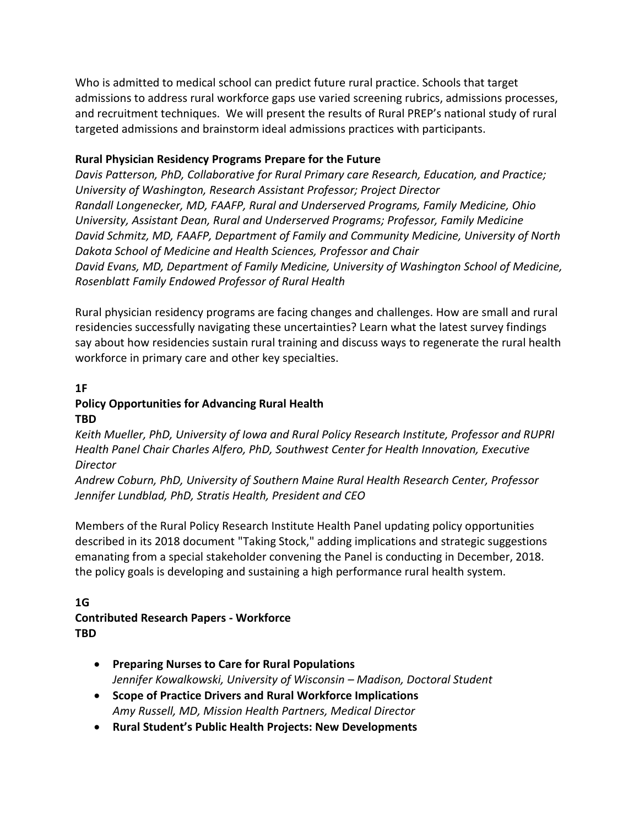Who is admitted to medical school can predict future rural practice. Schools that target admissions to address rural workforce gaps use varied screening rubrics, admissions processes, and recruitment techniques. We will present the results of Rural PREP's national study of rural targeted admissions and brainstorm ideal admissions practices with participants.

#### **Rural Physician Residency Programs Prepare for the Future**

*Davis Patterson, PhD, Collaborative for Rural Primary care Research, Education, and Practice; University of Washington, Research Assistant Professor; Project Director Randall Longenecker, MD, FAAFP, Rural and Underserved Programs, Family Medicine, Ohio University, Assistant Dean, Rural and Underserved Programs; Professor, Family Medicine David Schmitz, MD, FAAFP, Department of Family and Community Medicine, University of North Dakota School of Medicine and Health Sciences, Professor and Chair David Evans, MD, Department of Family Medicine, University of Washington School of Medicine, Rosenblatt Family Endowed Professor of Rural Health*

Rural physician residency programs are facing changes and challenges. How are small and rural residencies successfully navigating these uncertainties? Learn what the latest survey findings say about how residencies sustain rural training and discuss ways to regenerate the rural health workforce in primary care and other key specialties.

#### **1F Policy Opportunities for Advancing Rural Health TBD**

*Keith Mueller, PhD, University of Iowa and Rural Policy Research Institute, Professor and RUPRI Health Panel Chair Charles Alfero, PhD, Southwest Center for Health Innovation, Executive Director*

*Andrew Coburn, PhD, University of Southern Maine Rural Health Research Center, Professor Jennifer Lundblad, PhD, Stratis Health, President and CEO*

Members of the Rural Policy Research Institute Health Panel updating policy opportunities described in its 2018 document "Taking Stock," adding implications and strategic suggestions emanating from a special stakeholder convening the Panel is conducting in December, 2018. the policy goals is developing and sustaining a high performance rural health system.

### **1G**

### **Contributed Research Papers - Workforce TBD**

- **Preparing Nurses to Care for Rural Populations** *Jennifer Kowalkowski, University of Wisconsin – Madison, Doctoral Student*
- **Scope of Practice Drivers and Rural Workforce Implications** *Amy Russell, MD, Mission Health Partners, Medical Director*
- **Rural Student's Public Health Projects: New Developments**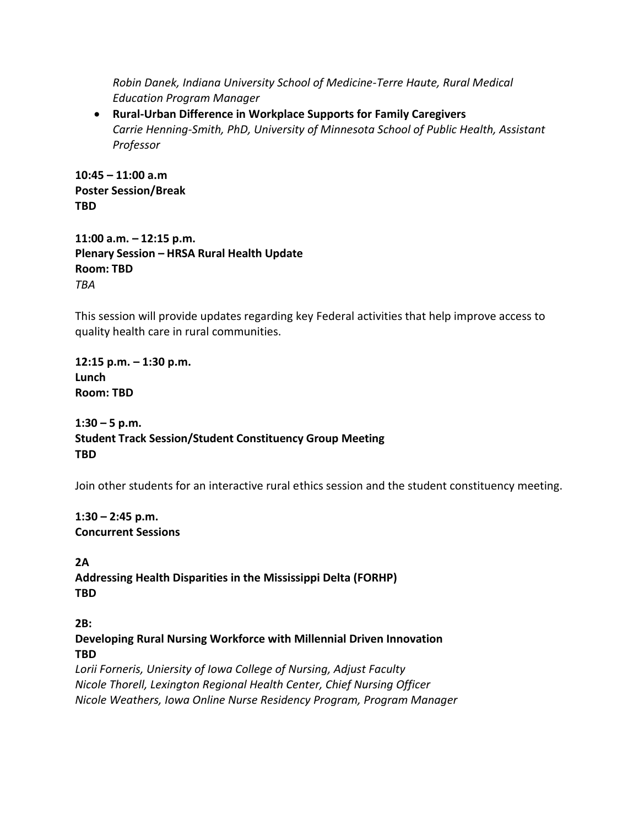*Robin Danek, Indiana University School of Medicine-Terre Haute, Rural Medical Education Program Manager*

• **Rural-Urban Difference in Workplace Supports for Family Caregivers** *Carrie Henning-Smith, PhD, University of Minnesota School of Public Health, Assistant Professor*

**10:45 – 11:00 a.m Poster Session/Break TBD**

**11:00 a.m. – 12:15 p.m. Plenary Session – HRSA Rural Health Update Room: TBD** *TBA*

This session will provide updates regarding key Federal activities that help improve access to quality health care in rural communities.

**12:15 p.m. – 1:30 p.m. Lunch Room: TBD**

**1:30 – 5 p.m. Student Track Session/Student Constituency Group Meeting TBD**

Join other students for an interactive rural ethics session and the student constituency meeting.

**1:30 – 2:45 p.m. Concurrent Sessions** 

**2A Addressing Health Disparities in the Mississippi Delta (FORHP) TBD**

**2B:**

**Developing Rural Nursing Workforce with Millennial Driven Innovation TBD**

*Lorii Forneris, Uniersity of Iowa College of Nursing, Adjust Faculty Nicole Thorell, Lexington Regional Health Center, Chief Nursing Officer Nicole Weathers, Iowa Online Nurse Residency Program, Program Manager*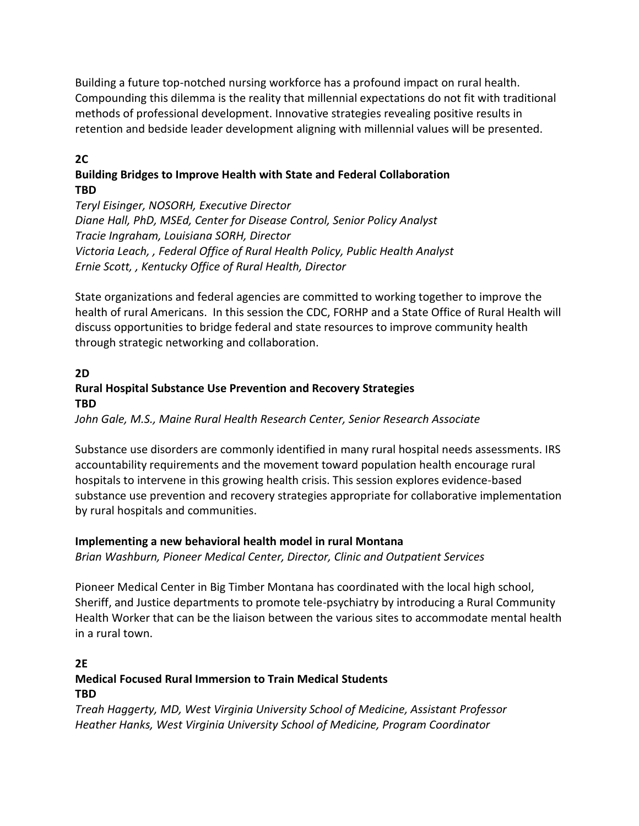Building a future top-notched nursing workforce has a profound impact on rural health. Compounding this dilemma is the reality that millennial expectations do not fit with traditional methods of professional development. Innovative strategies revealing positive results in retention and bedside leader development aligning with millennial values will be presented.

### **2C**

### **Building Bridges to Improve Health with State and Federal Collaboration TBD**

*Teryl Eisinger, NOSORH, Executive Director Diane Hall, PhD, MSEd, Center for Disease Control, Senior Policy Analyst Tracie Ingraham, Louisiana SORH, Director Victoria Leach, , Federal Office of Rural Health Policy, Public Health Analyst Ernie Scott, , Kentucky Office of Rural Health, Director*

State organizations and federal agencies are committed to working together to improve the health of rural Americans. In this session the CDC, FORHP and a State Office of Rural Health will discuss opportunities to bridge federal and state resources to improve community health through strategic networking and collaboration.

## **2D Rural Hospital Substance Use Prevention and Recovery Strategies TBD**

*John Gale, M.S., Maine Rural Health Research Center, Senior Research Associate*

Substance use disorders are commonly identified in many rural hospital needs assessments. IRS accountability requirements and the movement toward population health encourage rural hospitals to intervene in this growing health crisis. This session explores evidence-based substance use prevention and recovery strategies appropriate for collaborative implementation by rural hospitals and communities.

### **Implementing a new behavioral health model in rural Montana**

*Brian Washburn, Pioneer Medical Center, Director, Clinic and Outpatient Services*

Pioneer Medical Center in Big Timber Montana has coordinated with the local high school, Sheriff, and Justice departments to promote tele-psychiatry by introducing a Rural Community Health Worker that can be the liaison between the various sites to accommodate mental health in a rural town.

#### **2E Medical Focused Rural Immersion to Train Medical Students TBD**

*Treah Haggerty, MD, West Virginia University School of Medicine, Assistant Professor Heather Hanks, West Virginia University School of Medicine, Program Coordinator*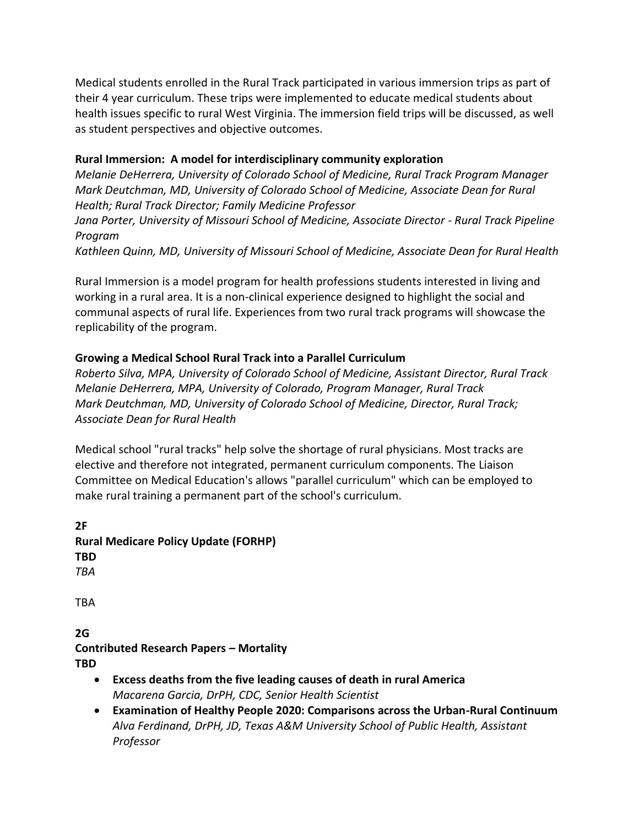Medical students enrolled in the Rural Track participated in various immersion trips as part of their 4 year curriculum. These trips were implemented to educate medical students about health issues specific to rural West Virginia. The immersion field trips will be discussed, as well as student perspectives and objective outcomes.

### **Rural Immersion: A model for interdisciplinary community exploration**

*Melanie DeHerrera, University of Colorado School of Medicine, Rural Track Program Manager Mark Deutchman, MD, University of Colorado School of Medicine, Associate Dean for Rural Health; Rural Track Director; Family Medicine Professor*

*Jana Porter, University of Missouri School of Medicine, Associate Director - Rural Track Pipeline Program*

*Kathleen Quinn, MD, University of Missouri School of Medicine, Associate Dean for Rural Health*

Rural Immersion is a model program for health professions students interested in living and working in a rural area. It is a non-clinical experience designed to highlight the social and communal aspects of rural life. Experiences from two rural track programs will showcase the replicability of the program.

### **Growing a Medical School Rural Track into a Parallel Curriculum**

*Roberto Silva, MPA, University of Colorado School of Medicine, Assistant Director, Rural Track Melanie DeHerrera, MPA, University of Colorado, Program Manager, Rural Track Mark Deutchman, MD, University of Colorado School of Medicine, Director, Rural Track; Associate Dean for Rural Health*

Medical school "rural tracks" help solve the shortage of rural physicians. Most tracks are elective and therefore not integrated, permanent curriculum components. The Liaison Committee on Medical Education's allows "parallel curriculum" which can be employed to make rural training a permanent part of the school's curriculum.

**2F Rural Medicare Policy Update (FORHP) TBD** *TBA* TBA

**2G Contributed Research Papers – Mortality TBD**

- **Excess deaths from the five leading causes of death in rural America** *Macarena Garcia, DrPH, CDC, Senior Health Scientist*
- **Examination of Healthy People 2020: Comparisons across the Urban-Rural Continuum**  *Alva Ferdinand, DrPH, JD, Texas A&M University School of Public Health, Assistant Professor*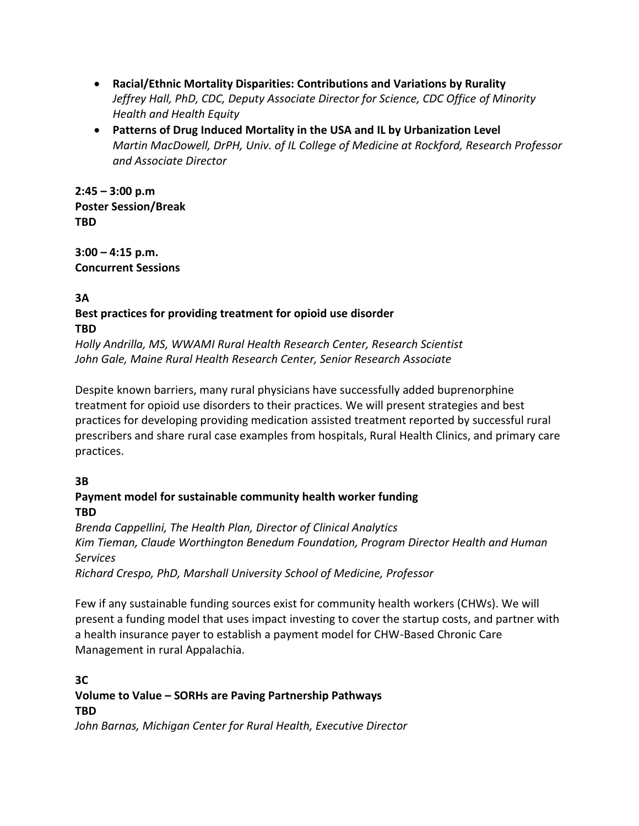- **Racial/Ethnic Mortality Disparities: Contributions and Variations by Rurality** *Jeffrey Hall, PhD, CDC, Deputy Associate Director for Science, CDC Office of Minority Health and Health Equity*
- **Patterns of Drug Induced Mortality in the USA and IL by Urbanization Level** *Martin MacDowell, DrPH, Univ. of IL College of Medicine at Rockford, Research Professor and Associate Director*

**2:45 – 3:00 p.m Poster Session/Break TBD**

**3:00 – 4:15 p.m. Concurrent Sessions**

### **3A Best practices for providing treatment for opioid use disorder TBD**

*Holly Andrilla, MS, WWAMI Rural Health Research Center, Research Scientist John Gale, Maine Rural Health Research Center, Senior Research Associate*

Despite known barriers, many rural physicians have successfully added buprenorphine treatment for opioid use disorders to their practices. We will present strategies and best practices for developing providing medication assisted treatment reported by successful rural prescribers and share rural case examples from hospitals, Rural Health Clinics, and primary care practices.

# **3B**

# **Payment model for sustainable community health worker funding TBD**

*Brenda Cappellini, The Health Plan, Director of Clinical Analytics Kim Tieman, Claude Worthington Benedum Foundation, Program Director Health and Human Services*

*Richard Crespo, PhD, Marshall University School of Medicine, Professor*

Few if any sustainable funding sources exist for community health workers (CHWs). We will present a funding model that uses impact investing to cover the startup costs, and partner with a health insurance payer to establish a payment model for CHW-Based Chronic Care Management in rural Appalachia.

### **3C Volume to Value – SORHs are Paving Partnership Pathways TBD**

*John Barnas, Michigan Center for Rural Health, Executive Director*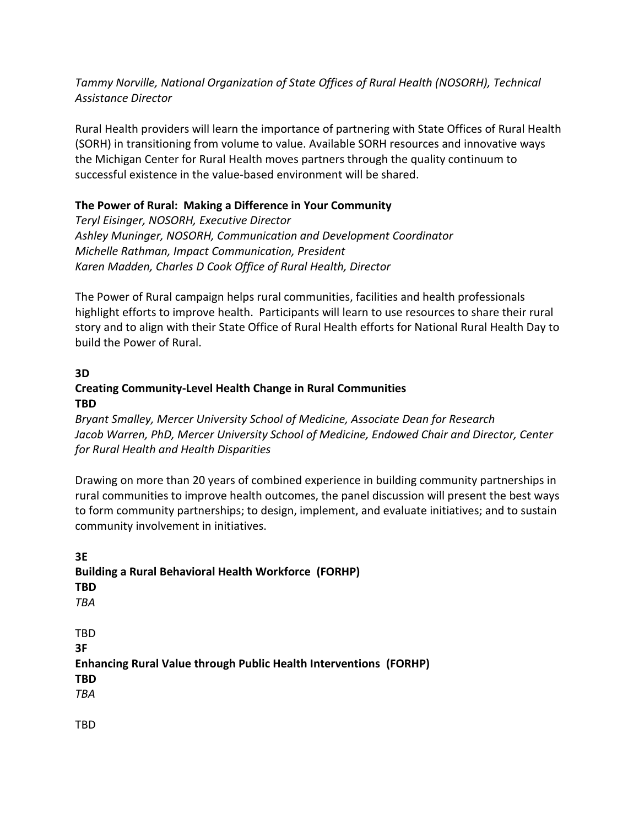### *Tammy Norville, National Organization of State Offices of Rural Health (NOSORH), Technical Assistance Director*

Rural Health providers will learn the importance of partnering with State Offices of Rural Health (SORH) in transitioning from volume to value. Available SORH resources and innovative ways the Michigan Center for Rural Health moves partners through the quality continuum to successful existence in the value-based environment will be shared.

### **The Power of Rural: Making a Difference in Your Community**

*Teryl Eisinger, NOSORH, Executive Director Ashley Muninger, NOSORH, Communication and Development Coordinator Michelle Rathman, Impact Communication, President Karen Madden, Charles D Cook Office of Rural Health, Director*

The Power of Rural campaign helps rural communities, facilities and health professionals highlight efforts to improve health. Participants will learn to use resources to share their rural story and to align with their State Office of Rural Health efforts for National Rural Health Day to build the Power of Rural.

#### **3D Creating Community-Level Health Change in Rural Communities TBD**

*Bryant Smalley, Mercer University School of Medicine, Associate Dean for Research Jacob Warren, PhD, Mercer University School of Medicine, Endowed Chair and Director, Center for Rural Health and Health Disparities*

Drawing on more than 20 years of combined experience in building community partnerships in rural communities to improve health outcomes, the panel discussion will present the best ways to form community partnerships; to design, implement, and evaluate initiatives; and to sustain community involvement in initiatives.

**3E Building a Rural Behavioral Health Workforce (FORHP) TBD** *TBA* TBD **3F Enhancing Rural Value through Public Health Interventions (FORHP) TBD** *TBA*

TBD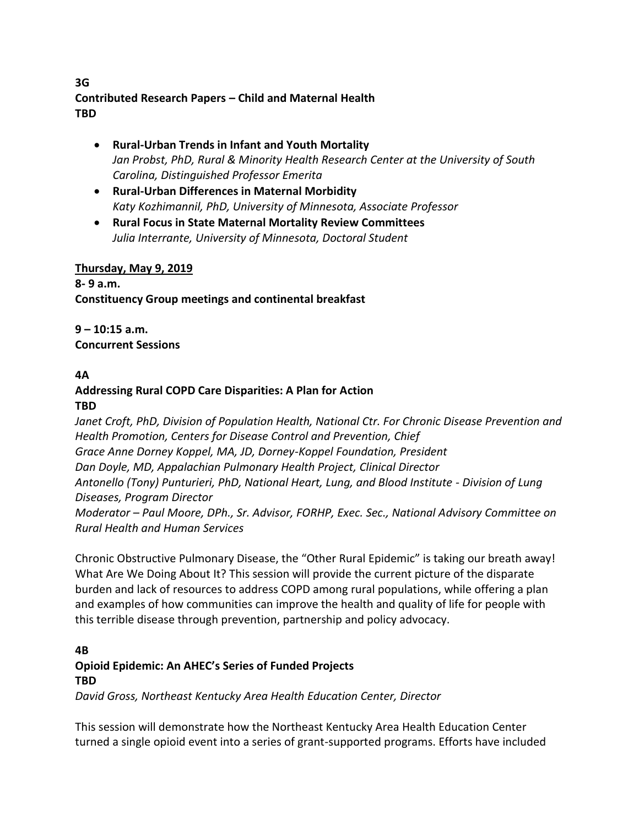### **3G Contributed Research Papers – Child and Maternal Health TBD**

- **Rural-Urban Trends in Infant and Youth Mortality** *Jan Probst, PhD, Rural & Minority Health Research Center at the University of South Carolina, Distinguished Professor Emerita*
- **Rural-Urban Differences in Maternal Morbidity** *Katy Kozhimannil, PhD, University of Minnesota, Associate Professor*
- **Rural Focus in State Maternal Mortality Review Committees** *Julia Interrante, University of Minnesota, Doctoral Student*

### **Thursday, May 9, 2019**

**8- 9 a.m. Constituency Group meetings and continental breakfast**

**9 – 10:15 a.m. Concurrent Sessions** 

### **4A**

**Addressing Rural COPD Care Disparities: A Plan for Action TBD**

*Janet Croft, PhD, Division of Population Health, National Ctr. For Chronic Disease Prevention and Health Promotion, Centers for Disease Control and Prevention, Chief Grace Anne Dorney Koppel, MA, JD, Dorney-Koppel Foundation, President Dan Doyle, MD, Appalachian Pulmonary Health Project, Clinical Director Antonello (Tony) Punturieri, PhD, National Heart, Lung, and Blood Institute - Division of Lung Diseases, Program Director Moderator – Paul Moore, DPh., Sr. Advisor, FORHP, Exec. Sec., National Advisory Committee on Rural Health and Human Services*

Chronic Obstructive Pulmonary Disease, the "Other Rural Epidemic" is taking our breath away! What Are We Doing About It? This session will provide the current picture of the disparate burden and lack of resources to address COPD among rural populations, while offering a plan and examples of how communities can improve the health and quality of life for people with this terrible disease through prevention, partnership and policy advocacy.

# **4B Opioid Epidemic: An AHEC's Series of Funded Projects TBD**

*David Gross, Northeast Kentucky Area Health Education Center, Director*

This session will demonstrate how the Northeast Kentucky Area Health Education Center turned a single opioid event into a series of grant-supported programs. Efforts have included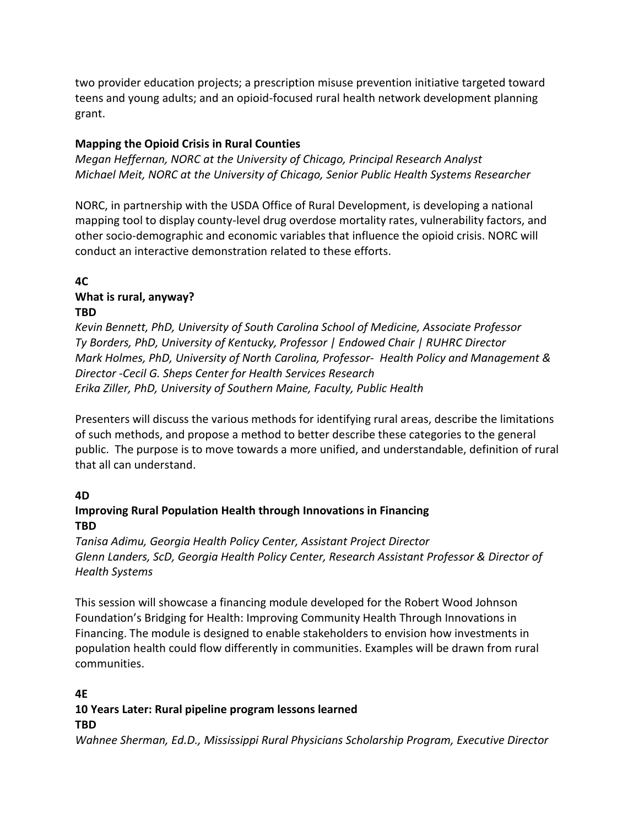two provider education projects; a prescription misuse prevention initiative targeted toward teens and young adults; and an opioid-focused rural health network development planning grant.

### **Mapping the Opioid Crisis in Rural Counties**

*Megan Heffernan, NORC at the University of Chicago, Principal Research Analyst Michael Meit, NORC at the University of Chicago, Senior Public Health Systems Researcher*

NORC, in partnership with the USDA Office of Rural Development, is developing a national mapping tool to display county-level drug overdose mortality rates, vulnerability factors, and other socio-demographic and economic variables that influence the opioid crisis. NORC will conduct an interactive demonstration related to these efforts.

#### **4C What is rural, anyway? TBD**

*Kevin Bennett, PhD, University of South Carolina School of Medicine, Associate Professor Ty Borders, PhD, University of Kentucky, Professor | Endowed Chair | RUHRC Director Mark Holmes, PhD, University of North Carolina, Professor- Health Policy and Management & Director -Cecil G. Sheps Center for Health Services Research Erika Ziller, PhD, University of Southern Maine, Faculty, Public Health*

Presenters will discuss the various methods for identifying rural areas, describe the limitations of such methods, and propose a method to better describe these categories to the general public. The purpose is to move towards a more unified, and understandable, definition of rural that all can understand.

### **4D**

## **Improving Rural Population Health through Innovations in Financing TBD**

*Tanisa Adimu, Georgia Health Policy Center, Assistant Project Director Glenn Landers, ScD, Georgia Health Policy Center, Research Assistant Professor & Director of Health Systems*

This session will showcase a financing module developed for the Robert Wood Johnson Foundation's Bridging for Health: Improving Community Health Through Innovations in Financing. The module is designed to enable stakeholders to envision how investments in population health could flow differently in communities. Examples will be drawn from rural communities.

### **4E**

# **10 Years Later: Rural pipeline program lessons learned**

#### **TBD**

*Wahnee Sherman, Ed.D., Mississippi Rural Physicians Scholarship Program, Executive Director*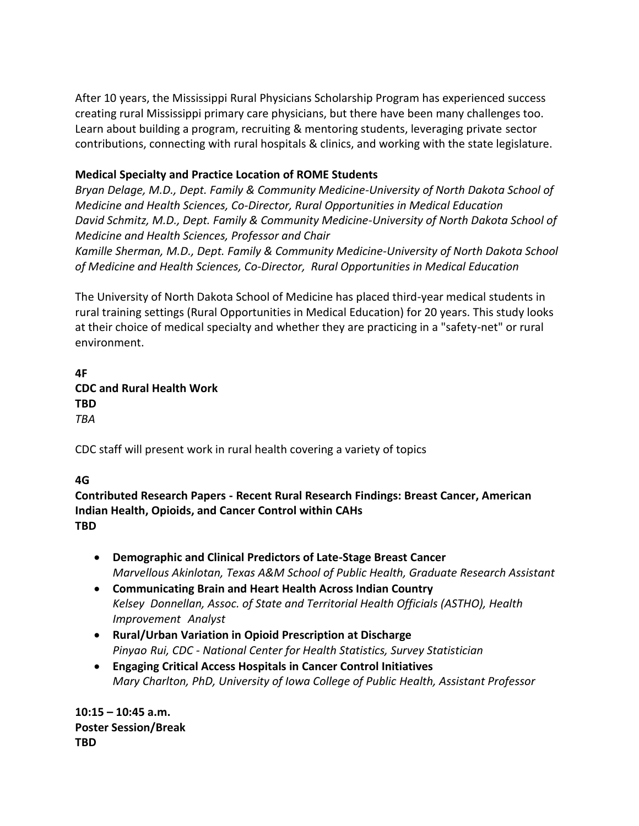After 10 years, the Mississippi Rural Physicians Scholarship Program has experienced success creating rural Mississippi primary care physicians, but there have been many challenges too. Learn about building a program, recruiting & mentoring students, leveraging private sector contributions, connecting with rural hospitals & clinics, and working with the state legislature.

### **Medical Specialty and Practice Location of ROME Students**

*Bryan Delage, M.D., Dept. Family & Community Medicine-University of North Dakota School of Medicine and Health Sciences, Co-Director, Rural Opportunities in Medical Education David Schmitz, M.D., Dept. Family & Community Medicine-University of North Dakota School of Medicine and Health Sciences, Professor and Chair*

*Kamille Sherman, M.D., Dept. Family & Community Medicine-University of North Dakota School of Medicine and Health Sciences, Co-Director, Rural Opportunities in Medical Education*

The University of North Dakota School of Medicine has placed third-year medical students in rural training settings (Rural Opportunities in Medical Education) for 20 years. This study looks at their choice of medical specialty and whether they are practicing in a "safety-net" or rural environment.

**4F CDC and Rural Health Work TBD** *TBA*

CDC staff will present work in rural health covering a variety of topics

### **4G**

**Contributed Research Papers - Recent Rural Research Findings: Breast Cancer, American Indian Health, Opioids, and Cancer Control within CAHs TBD**

- **Demographic and Clinical Predictors of Late-Stage Breast Cancer** *Marvellous Akinlotan, Texas A&M School of Public Health, Graduate Research Assistant*
- **Communicating Brain and Heart Health Across Indian Country** *Kelsey Donnellan, Assoc. of State and Territorial Health Officials (ASTHO), Health Improvement Analyst*
- **Rural/Urban Variation in Opioid Prescription at Discharge** *Pinyao Rui, CDC - National Center for Health Statistics, Survey Statistician*
- **Engaging Critical Access Hospitals in Cancer Control Initiatives** *Mary Charlton, PhD, University of Iowa College of Public Health, Assistant Professor*

**10:15 – 10:45 a.m. Poster Session/Break TBD**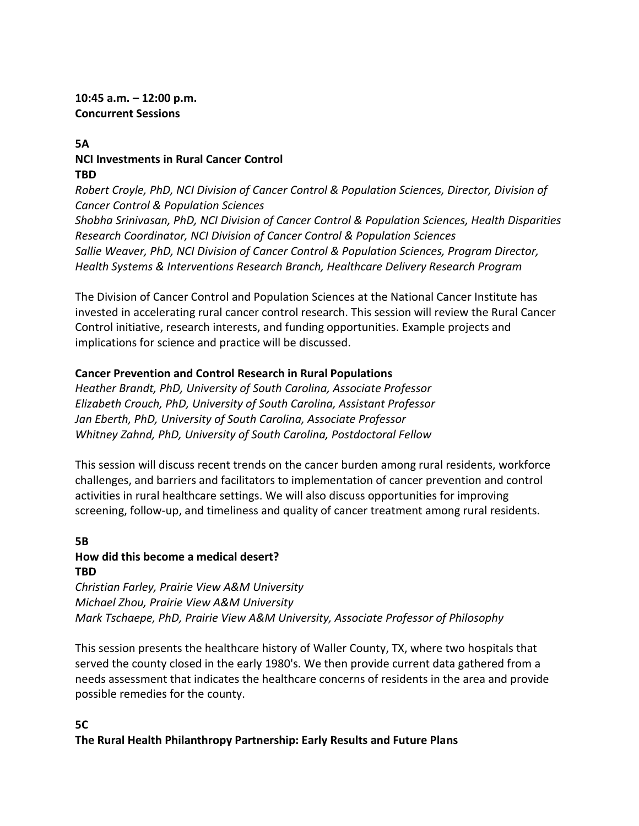#### **10:45 a.m. – 12:00 p.m. Concurrent Sessions**

### **5A NCI Investments in Rural Cancer Control TBD**

*Robert Croyle, PhD, NCI Division of Cancer Control & Population Sciences, Director, Division of Cancer Control & Population Sciences Shobha Srinivasan, PhD, NCI Division of Cancer Control & Population Sciences, Health Disparities Research Coordinator, NCI Division of Cancer Control & Population Sciences Sallie Weaver, PhD, NCI Division of Cancer Control & Population Sciences, Program Director, Health Systems & Interventions Research Branch, Healthcare Delivery Research Program*

The Division of Cancer Control and Population Sciences at the National Cancer Institute has invested in accelerating rural cancer control research. This session will review the Rural Cancer Control initiative, research interests, and funding opportunities. Example projects and implications for science and practice will be discussed.

### **Cancer Prevention and Control Research in Rural Populations**

*Heather Brandt, PhD, University of South Carolina, Associate Professor Elizabeth Crouch, PhD, University of South Carolina, Assistant Professor Jan Eberth, PhD, University of South Carolina, Associate Professor Whitney Zahnd, PhD, University of South Carolina, Postdoctoral Fellow*

This session will discuss recent trends on the cancer burden among rural residents, workforce challenges, and barriers and facilitators to implementation of cancer prevention and control activities in rural healthcare settings. We will also discuss opportunities for improving screening, follow-up, and timeliness and quality of cancer treatment among rural residents.

### **5B How did this become a medical desert? TBD**

*Christian Farley, Prairie View A&M University Michael Zhou, Prairie View A&M University Mark Tschaepe, PhD, Prairie View A&M University, Associate Professor of Philosophy*

This session presents the healthcare history of Waller County, TX, where two hospitals that served the county closed in the early 1980's. We then provide current data gathered from a needs assessment that indicates the healthcare concerns of residents in the area and provide possible remedies for the county.

### **5C**

**The Rural Health Philanthropy Partnership: Early Results and Future Plans**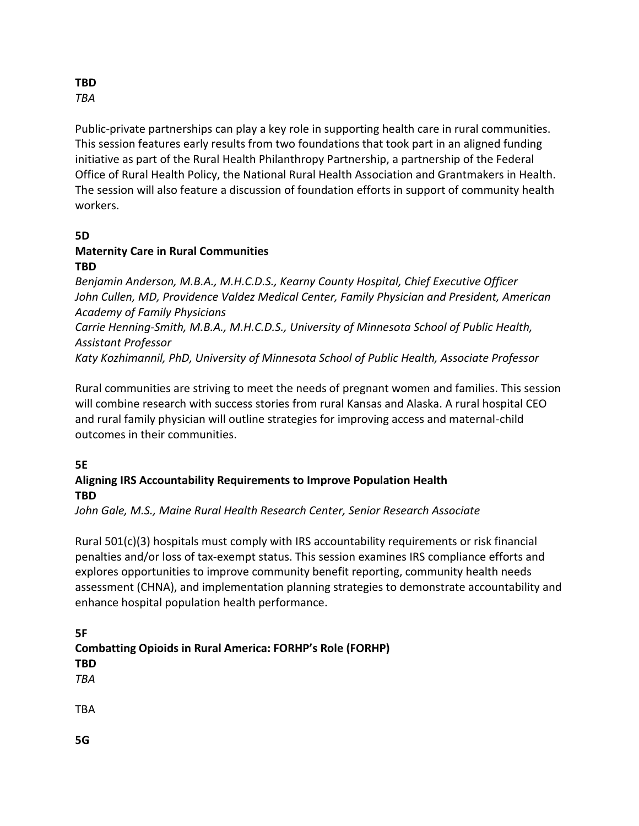#### **TBD** *TBA*

Public-private partnerships can play a key role in supporting health care in rural communities. This session features early results from two foundations that took part in an aligned funding initiative as part of the Rural Health Philanthropy Partnership, a partnership of the Federal Office of Rural Health Policy, the National Rural Health Association and Grantmakers in Health. The session will also feature a discussion of foundation efforts in support of community health workers.

#### **5D**

#### **Maternity Care in Rural Communities TBD**

*Benjamin Anderson, M.B.A., M.H.C.D.S., Kearny County Hospital, Chief Executive Officer John Cullen, MD, Providence Valdez Medical Center, Family Physician and President, American Academy of Family Physicians Carrie Henning-Smith, M.B.A., M.H.C.D.S., University of Minnesota School of Public Health,* 

*Assistant Professor*

*Katy Kozhimannil, PhD, University of Minnesota School of Public Health, Associate Professor* 

Rural communities are striving to meet the needs of pregnant women and families. This session will combine research with success stories from rural Kansas and Alaska. A rural hospital CEO and rural family physician will outline strategies for improving access and maternal-child outcomes in their communities.

### **5E**

### **Aligning IRS Accountability Requirements to Improve Population Health TBD**

*John Gale, M.S., Maine Rural Health Research Center, Senior Research Associate*

Rural 501(c)(3) hospitals must comply with IRS accountability requirements or risk financial penalties and/or loss of tax-exempt status. This session examines IRS compliance efforts and explores opportunities to improve community benefit reporting, community health needs assessment (CHNA), and implementation planning strategies to demonstrate accountability and enhance hospital population health performance.

**5F Combatting Opioids in Rural America: FORHP's Role (FORHP) TBD** *TBA* TBA

**5G**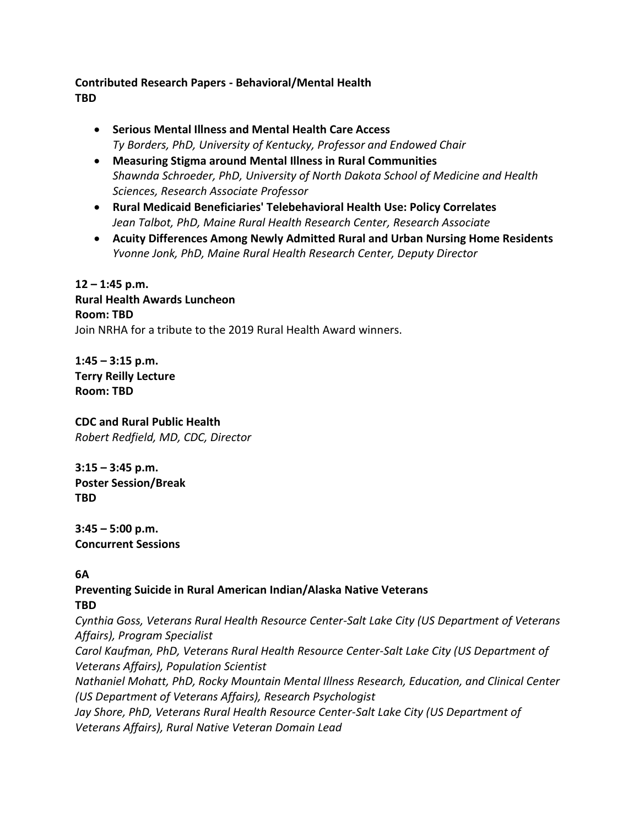### **Contributed Research Papers - Behavioral/Mental Health TBD**

- **Serious Mental Illness and Mental Health Care Access** *Ty Borders, PhD, University of Kentucky, Professor and Endowed Chair*
- **Measuring Stigma around Mental Illness in Rural Communities** *Shawnda Schroeder, PhD, University of North Dakota School of Medicine and Health Sciences, Research Associate Professor*
- **Rural Medicaid Beneficiaries' Telebehavioral Health Use: Policy Correlates** *Jean Talbot, PhD, Maine Rural Health Research Center, Research Associate*
- **Acuity Differences Among Newly Admitted Rural and Urban Nursing Home Residents** *Yvonne Jonk, PhD, Maine Rural Health Research Center, Deputy Director*

**12 – 1:45 p.m. Rural Health Awards Luncheon Room: TBD** Join NRHA for a tribute to the 2019 Rural Health Award winners.

**1:45 – 3:15 p.m. Terry Reilly Lecture Room: TBD**

**CDC and Rural Public Health** *Robert Redfield, MD, CDC, Director* 

**3:15 – 3:45 p.m. Poster Session/Break TBD**

**3:45 – 5:00 p.m. Concurrent Sessions** 

### **6A**

#### **Preventing Suicide in Rural American Indian/Alaska Native Veterans TBD**

*Cynthia Goss, Veterans Rural Health Resource Center-Salt Lake City (US Department of Veterans Affairs), Program Specialist*

*Carol Kaufman, PhD, Veterans Rural Health Resource Center-Salt Lake City (US Department of Veterans Affairs), Population Scientist*

*Nathaniel Mohatt, PhD, Rocky Mountain Mental Illness Research, Education, and Clinical Center (US Department of Veterans Affairs), Research Psychologist*

*Jay Shore, PhD, Veterans Rural Health Resource Center-Salt Lake City (US Department of Veterans Affairs), Rural Native Veteran Domain Lead*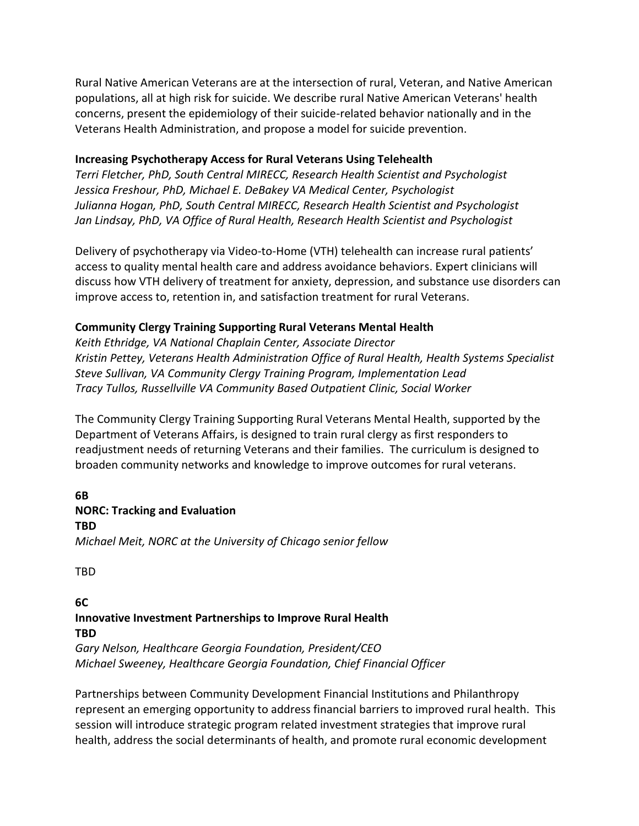Rural Native American Veterans are at the intersection of rural, Veteran, and Native American populations, all at high risk for suicide. We describe rural Native American Veterans' health concerns, present the epidemiology of their suicide-related behavior nationally and in the Veterans Health Administration, and propose a model for suicide prevention.

#### **Increasing Psychotherapy Access for Rural Veterans Using Telehealth**

*Terri Fletcher, PhD, South Central MIRECC, Research Health Scientist and Psychologist Jessica Freshour, PhD, Michael E. DeBakey VA Medical Center, Psychologist Julianna Hogan, PhD, South Central MIRECC, Research Health Scientist and Psychologist Jan Lindsay, PhD, VA Office of Rural Health, Research Health Scientist and Psychologist*

Delivery of psychotherapy via Video-to-Home (VTH) telehealth can increase rural patients' access to quality mental health care and address avoidance behaviors. Expert clinicians will discuss how VTH delivery of treatment for anxiety, depression, and substance use disorders can improve access to, retention in, and satisfaction treatment for rural Veterans.

#### **Community Clergy Training Supporting Rural Veterans Mental Health**

*Keith Ethridge, VA National Chaplain Center, Associate Director Kristin Pettey, Veterans Health Administration Office of Rural Health, Health Systems Specialist Steve Sullivan, VA Community Clergy Training Program, Implementation Lead Tracy Tullos, Russellville VA Community Based Outpatient Clinic, Social Worker*

The Community Clergy Training Supporting Rural Veterans Mental Health, supported by the Department of Veterans Affairs, is designed to train rural clergy as first responders to readjustment needs of returning Veterans and their families. The curriculum is designed to broaden community networks and knowledge to improve outcomes for rural veterans.

#### **6B NORC: Tracking and Evaluation**

**TBD**

*Michael Meit, NORC at the University of Chicago senior fellow*

TBD

**6C**

#### **Innovative Investment Partnerships to Improve Rural Health TBD**

*Gary Nelson, Healthcare Georgia Foundation, President/CEO Michael Sweeney, Healthcare Georgia Foundation, Chief Financial Officer*

Partnerships between Community Development Financial Institutions and Philanthropy represent an emerging opportunity to address financial barriers to improved rural health. This session will introduce strategic program related investment strategies that improve rural health, address the social determinants of health, and promote rural economic development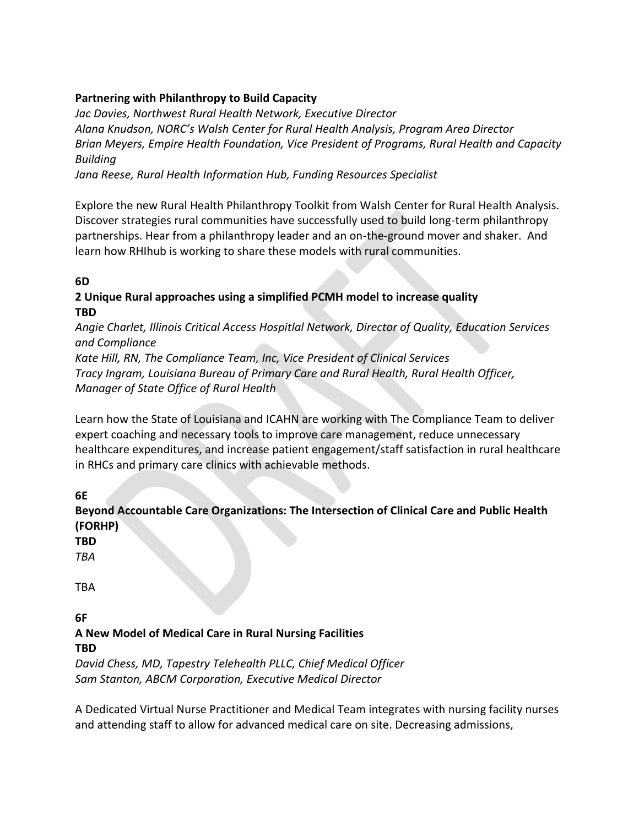### **Partnering with Philanthropy to Build Capacity**

*Jac Davies, Northwest Rural Health Network, Executive Director Alana Knudson, NORC's Walsh Center for Rural Health Analysis, Program Area Director Brian Meyers, Empire Health Foundation, Vice President of Programs, Rural Health and Capacity Building*

*Jana Reese, Rural Health Information Hub, Funding Resources Specialist*

Explore the new Rural Health Philanthropy Toolkit from Walsh Center for Rural Health Analysis. Discover strategies rural communities have successfully used to build long-term philanthropy partnerships. Hear from a philanthropy leader and an on-the-ground mover and shaker. And learn how RHIhub is working to share these models with rural communities.

### **6D**

### **2 Unique Rural approaches using a simplified PCMH model to increase quality TBD**

*Angie Charlet, Illinois Critical Access Hospitlal Network, Director of Quality, Education Services and Compliance*

*Kate Hill, RN, The Compliance Team, Inc, Vice President of Clinical Services Tracy Ingram, Louisiana Bureau of Primary Care and Rural Health, Rural Health Officer, Manager of State Office of Rural Health*

Learn how the State of Louisiana and ICAHN are working with The Compliance Team to deliver expert coaching and necessary tools to improve care management, reduce unnecessary healthcare expenditures, and increase patient engagement/staff satisfaction in rural healthcare in RHCs and primary care clinics with achievable methods.

**6E**

**Beyond Accountable Care Organizations: The Intersection of Clinical Care and Public Health (FORHP)**

**TBD**

*TBA*

TBA

**6F**

# **A New Model of Medical Care in Rural Nursing Facilities TBD**

*David Chess, MD, Tapestry Telehealth PLLC, Chief Medical Officer Sam Stanton, ABCM Corporation, Executive Medical Director*

A Dedicated Virtual Nurse Practitioner and Medical Team integrates with nursing facility nurses and attending staff to allow for advanced medical care on site. Decreasing admissions,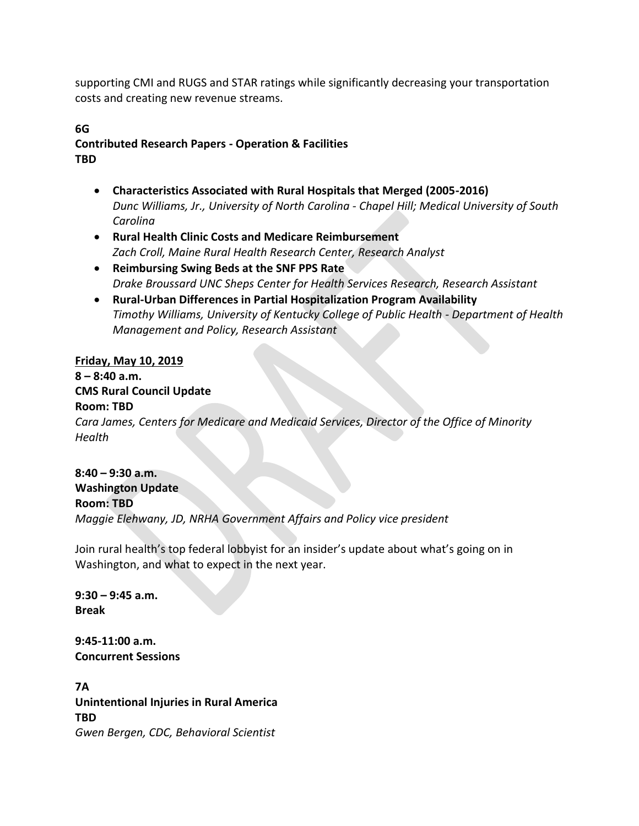supporting CMI and RUGS and STAR ratings while significantly decreasing your transportation costs and creating new revenue streams.

#### **6G Contributed Research Papers - Operation & Facilities TBD**

- **Characteristics Associated with Rural Hospitals that Merged (2005-2016)** *Dunc Williams, Jr., University of North Carolina - Chapel Hill; Medical University of South Carolina*
- **Rural Health Clinic Costs and Medicare Reimbursement** *Zach Croll, Maine Rural Health Research Center, Research Analyst*
- **Reimbursing Swing Beds at the SNF PPS Rate** *Drake Broussard UNC Sheps Center for Health Services Research, Research Assistant*
- **Rural-Urban Differences in Partial Hospitalization Program Availability** *Timothy Williams, University of Kentucky College of Public Health - Department of Health Management and Policy, Research Assistant*

### **Friday, May 10, 2019**

# **8 – 8:40 a.m. CMS Rural Council Update Room: TBD** *Cara James, Centers for Medicare and Medicaid Services, Director of the Office of Minority Health*

**8:40 – 9:30 a.m. Washington Update Room: TBD** *Maggie Elehwany, JD, NRHA Government Affairs and Policy vice president*

Join rural health's top federal lobbyist for an insider's update about what's going on in Washington, and what to expect in the next year.

**9:30 – 9:45 a.m. Break**

**9:45-11:00 a.m. Concurrent Sessions** 

**7A Unintentional Injuries in Rural America TBD** *Gwen Bergen, CDC, Behavioral Scientist*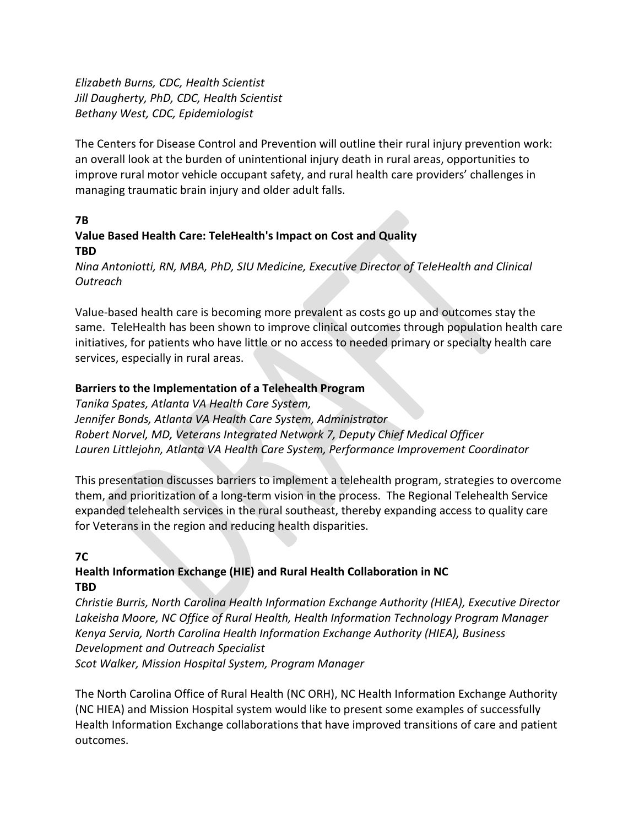*Elizabeth Burns, CDC, Health Scientist Jill Daugherty, PhD, CDC, Health Scientist Bethany West, CDC, Epidemiologist*

The Centers for Disease Control and Prevention will outline their rural injury prevention work: an overall look at the burden of unintentional injury death in rural areas, opportunities to improve rural motor vehicle occupant safety, and rural health care providers' challenges in managing traumatic brain injury and older adult falls.

#### **7B Value Based Health Care: TeleHealth's Impact on Cost and Quality TBD**

*Nina Antoniotti, RN, MBA, PhD, SIU Medicine, Executive Director of TeleHealth and Clinical Outreach*

Value-based health care is becoming more prevalent as costs go up and outcomes stay the same. TeleHealth has been shown to improve clinical outcomes through population health care initiatives, for patients who have little or no access to needed primary or specialty health care services, especially in rural areas.

### **Barriers to the Implementation of a Telehealth Program**

*Tanika Spates, Atlanta VA Health Care System, Jennifer Bonds, Atlanta VA Health Care System, Administrator Robert Norvel, MD, Veterans Integrated Network 7, Deputy Chief Medical Officer Lauren Littlejohn, Atlanta VA Health Care System, Performance Improvement Coordinator*

This presentation discusses barriers to implement a telehealth program, strategies to overcome them, and prioritization of a long-term vision in the process. The Regional Telehealth Service expanded telehealth services in the rural southeast, thereby expanding access to quality care for Veterans in the region and reducing health disparities.

### **7C**

### **Health Information Exchange (HIE) and Rural Health Collaboration in NC TBD**

*Christie Burris, North Carolina Health Information Exchange Authority (HIEA), Executive Director Lakeisha Moore, NC Office of Rural Health, Health Information Technology Program Manager Kenya Servia, North Carolina Health Information Exchange Authority (HIEA), Business Development and Outreach Specialist Scot Walker, Mission Hospital System, Program Manager*

The North Carolina Office of Rural Health (NC ORH), NC Health Information Exchange Authority (NC HIEA) and Mission Hospital system would like to present some examples of successfully Health Information Exchange collaborations that have improved transitions of care and patient outcomes.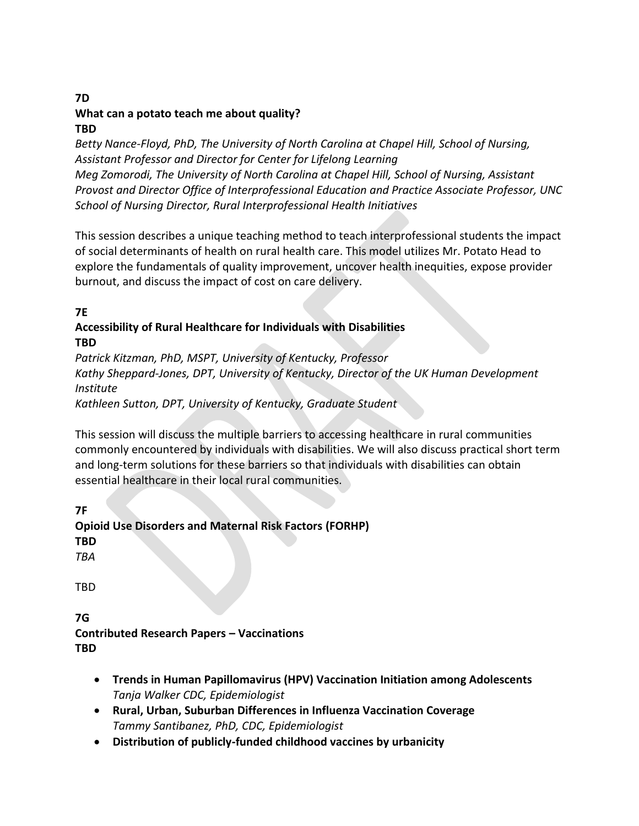### **7D What can a potato teach me about quality? TBD**

*Betty Nance-Floyd, PhD, The University of North Carolina at Chapel Hill, School of Nursing, Assistant Professor and Director for Center for Lifelong Learning Meg Zomorodi, The University of North Carolina at Chapel Hill, School of Nursing, Assistant Provost and Director Office of Interprofessional Education and Practice Associate Professor, UNC School of Nursing Director, Rural Interprofessional Health Initiatives*

This session describes a unique teaching method to teach interprofessional students the impact of social determinants of health on rural health care. This model utilizes Mr. Potato Head to explore the fundamentals of quality improvement, uncover health inequities, expose provider burnout, and discuss the impact of cost on care delivery.

**7E**

#### **Accessibility of Rural Healthcare for Individuals with Disabilities TBD**

*Patrick Kitzman, PhD, MSPT, University of Kentucky, Professor Kathy Sheppard-Jones, DPT, University of Kentucky, Director of the UK Human Development Institute Kathleen Sutton, DPT, University of Kentucky, Graduate Student*

This session will discuss the multiple barriers to accessing healthcare in rural communities commonly encountered by individuals with disabilities. We will also discuss practical short term and long-term solutions for these barriers so that individuals with disabilities can obtain essential healthcare in their local rural communities.

**7F**

**Opioid Use Disorders and Maternal Risk Factors (FORHP) TBD**

*TBA*

TBD

**7G Contributed Research Papers – Vaccinations TBD**

- **Trends in Human Papillomavirus (HPV) Vaccination Initiation among Adolescents** *Tanja Walker CDC, Epidemiologist*
- **Rural, Urban, Suburban Differences in Influenza Vaccination Coverage** *Tammy Santibanez, PhD, CDC, Epidemiologist*
- **Distribution of publicly-funded childhood vaccines by urbanicity**